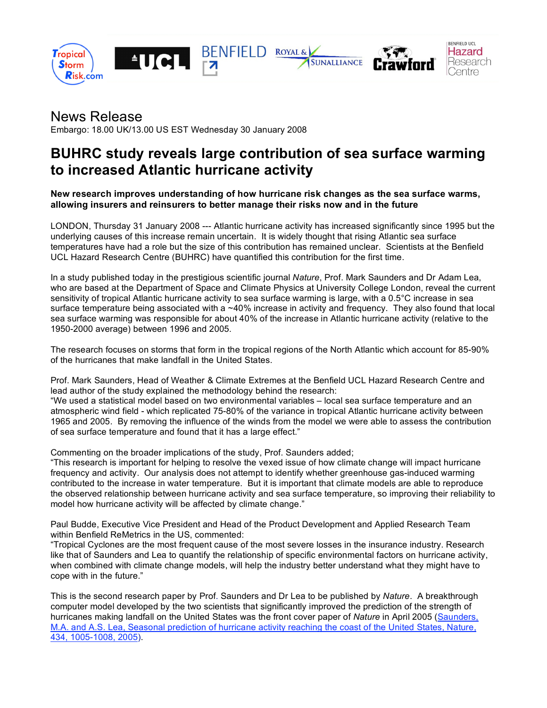

# News Release

Embargo: 18.00 UK/13.00 US EST Wednesday 30 January 2008

# **BUHRC study reveals large contribution of sea surface warming to increased Atlantic hurricane activity**

**New research improves understanding of how hurricane risk changes as the sea surface warms, allowing insurers and reinsurers to better manage their risks now and in the future**

LONDON, Thursday 31 January 2008 --- Atlantic hurricane activity has increased significantly since 1995 but the underlying causes of this increase remain uncertain. It is widely thought that rising Atlantic sea surface temperatures have had a role but the size of this contribution has remained unclear. Scientists at the Benfield UCL Hazard Research Centre (BUHRC) have quantified this contribution for the first time.

In a study published today in the prestigious scientific journal *Nature*, Prof. Mark Saunders and Dr Adam Lea, who are based at the Department of Space and Climate Physics at University College London, reveal the current sensitivity of tropical Atlantic hurricane activity to sea surface warming is large, with a 0.5°C increase in sea surface temperature being associated with a ~40% increase in activity and frequency. They also found that local sea surface warming was responsible for about 40% of the increase in Atlantic hurricane activity (relative to the 1950-2000 average) between 1996 and 2005.

The research focuses on storms that form in the tropical regions of the North Atlantic which account for 85-90% of the hurricanes that make landfall in the United States.

Prof. Mark Saunders, Head of Weather & Climate Extremes at the Benfield UCL Hazard Research Centre and lead author of the study explained the methodology behind the research: "We used a statistical model based on two environmental variables – local sea surface temperature and an atmospheric wind field - which replicated 75-80% of the variance in tropical Atlantic hurricane activity between 1965 and 2005. By removing the influence of the winds from the model we were able to assess the contribution

Commenting on the broader implications of the study, Prof. Saunders added;

of sea surface temperature and found that it has a large effect."

"This research is important for helping to resolve the vexed issue of how climate change will impact hurricane frequency and activity. Our analysis does not attempt to identify whether greenhouse gas-induced warming contributed to the increase in water temperature. But it is important that climate models are able to reproduce the observed relationship between hurricane activity and sea surface temperature, so improving their reliability to model how hurricane activity will be affected by climate change."

Paul Budde, Executive Vice President and Head of the Product Development and Applied Research Team within Benfield ReMetrics in the US, commented:

"Tropical Cyclones are the most frequent cause of the most severe losses in the insurance industry. Research like that of Saunders and Lea to quantify the relationship of specific environmental factors on hurricane activity, when combined with climate change models, will help the industry better understand what they might have to cope with in the future."

This is the second research paper by Prof. Saunders and Dr Lea to be published by *Nature*. A breakthrough computer model developed by the two scientists that significantly improved the prediction of the strength of hurricanes making landfall on the United States was the front cover paper of *Nature* in April 2005 (Saunders, M.A. and A.S. Lea, Seasonal prediction of hurricane activity reaching the coast of the United States, Nature, 434, 1005-1008, 2005).